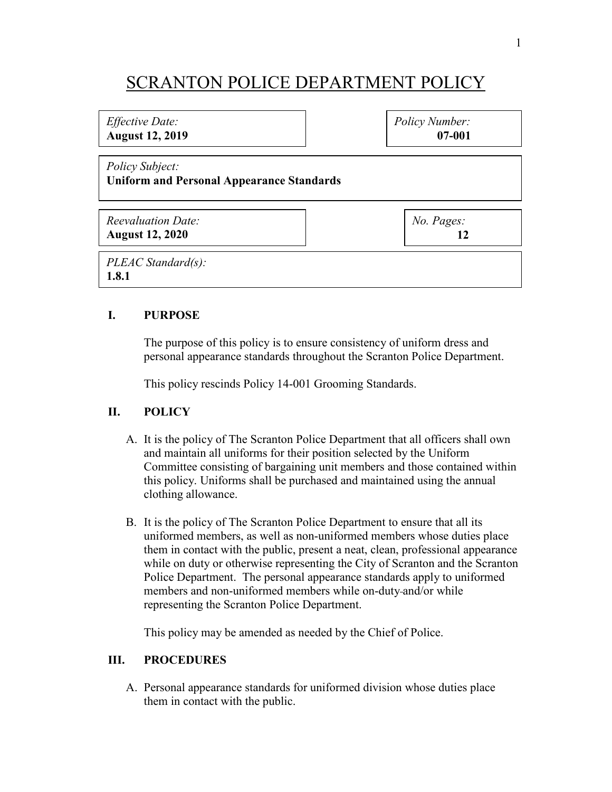# SCRANTON POLICE DEPARTMENT POLICY

## *Effective Date:* **August 12, 2019** *Policy Subject:* **Uniform and Personal Appearance Standards** *Reevaluation Date:* **August 12, 2020** *No. Pages:* **12** *Policy Number:* **07-001** *PLEAC Standard(s):* **1.8.1**

### **I. PURPOSE**

The purpose of this policy is to ensure consistency of uniform dress and personal appearance standards throughout the Scranton Police Department.

This policy rescinds Policy 14-001 Grooming Standards.

#### **II. POLICY**

- A. It is the policy of The Scranton Police Department that all officers shall own and maintain all uniforms for their position selected by the Uniform Committee consisting of bargaining unit members and those contained within this policy. Uniforms shall be purchased and maintained using the annual clothing allowance.
- B. It is the policy of The Scranton Police Department to ensure that all its uniformed members, as well as non-uniformed members whose duties place them in contact with the public, present a neat, clean, professional appearance while on duty or otherwise representing the City of Scranton and the Scranton Police Department. The personal appearance standards apply to uniformed members and non-uniformed members while on-duty and/or while representing the Scranton Police Department.

This policy may be amended as needed by the Chief of Police.

#### **III. PROCEDURES**

A. Personal appearance standards for uniformed division whose duties place them in contact with the public.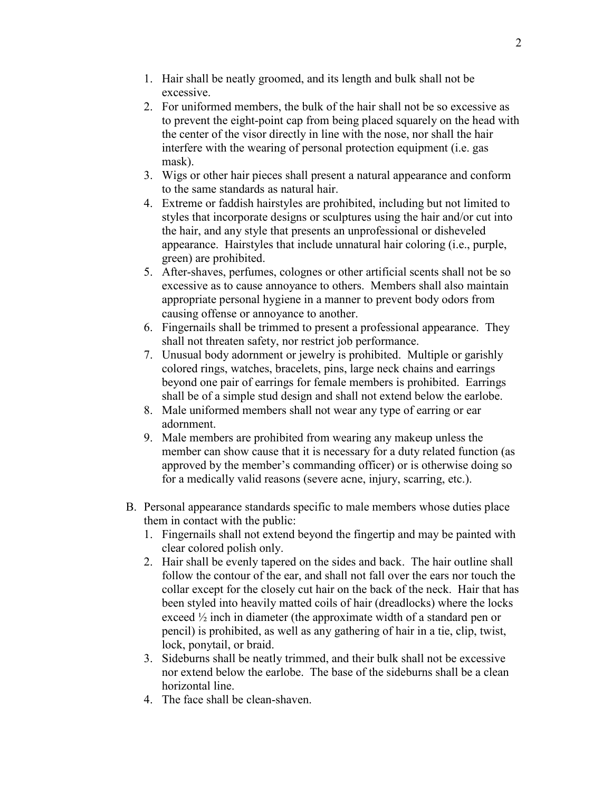- 1. Hair shall be neatly groomed, and its length and bulk shall not be excessive.
- 2. For uniformed members, the bulk of the hair shall not be so excessive as to prevent the eight-point cap from being placed squarely on the head with the center of the visor directly in line with the nose, nor shall the hair interfere with the wearing of personal protection equipment (i.e. gas mask).
- 3. Wigs or other hair pieces shall present a natural appearance and conform to the same standards as natural hair.
- 4. Extreme or faddish hairstyles are prohibited, including but not limited to styles that incorporate designs or sculptures using the hair and/or cut into the hair, and any style that presents an unprofessional or disheveled appearance. Hairstyles that include unnatural hair coloring (i.e., purple, green) are prohibited.
- 5. After-shaves, perfumes, colognes or other artificial scents shall not be so excessive as to cause annoyance to others. Members shall also maintain appropriate personal hygiene in a manner to prevent body odors from causing offense or annoyance to another.
- 6. Fingernails shall be trimmed to present a professional appearance. They shall not threaten safety, nor restrict job performance.
- 7. Unusual body adornment or jewelry is prohibited. Multiple or garishly colored rings, watches, bracelets, pins, large neck chains and earrings beyond one pair of earrings for female members is prohibited. Earrings shall be of a simple stud design and shall not extend below the earlobe.
- 8. Male uniformed members shall not wear any type of earring or ear adornment.
- 9. Male members are prohibited from wearing any makeup unless the member can show cause that it is necessary for a duty related function (as approved by the member's commanding officer) or is otherwise doing so for a medically valid reasons (severe acne, injury, scarring, etc.).
- B. Personal appearance standards specific to male members whose duties place them in contact with the public:
	- 1. Fingernails shall not extend beyond the fingertip and may be painted with clear colored polish only.
	- 2. Hair shall be evenly tapered on the sides and back. The hair outline shall follow the contour of the ear, and shall not fall over the ears nor touch the collar except for the closely cut hair on the back of the neck. Hair that has been styled into heavily matted coils of hair (dreadlocks) where the locks exceed ½ inch in diameter (the approximate width of a standard pen or pencil) is prohibited, as well as any gathering of hair in a tie, clip, twist, lock, ponytail, or braid.
	- 3. Sideburns shall be neatly trimmed, and their bulk shall not be excessive nor extend below the earlobe. The base of the sideburns shall be a clean horizontal line.
	- 4. The face shall be clean-shaven.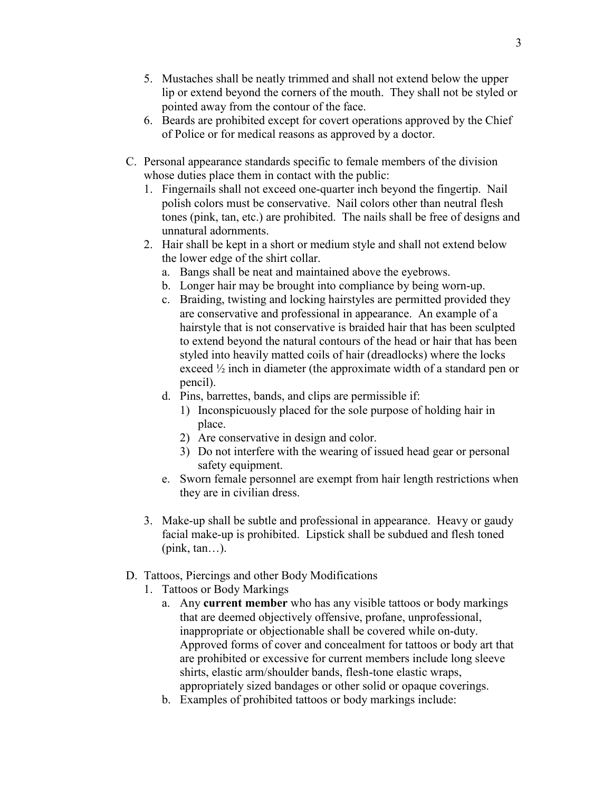- 5. Mustaches shall be neatly trimmed and shall not extend below the upper lip or extend beyond the corners of the mouth. They shall not be styled or pointed away from the contour of the face.
- 6. Beards are prohibited except for covert operations approved by the Chief of Police or for medical reasons as approved by a doctor.
- C. Personal appearance standards specific to female members of the division whose duties place them in contact with the public:
	- 1. Fingernails shall not exceed one-quarter inch beyond the fingertip. Nail polish colors must be conservative. Nail colors other than neutral flesh tones (pink, tan, etc.) are prohibited. The nails shall be free of designs and unnatural adornments.
	- 2. Hair shall be kept in a short or medium style and shall not extend below the lower edge of the shirt collar.
		- a. Bangs shall be neat and maintained above the eyebrows.
		- b. Longer hair may be brought into compliance by being worn-up.
		- c. Braiding, twisting and locking hairstyles are permitted provided they are conservative and professional in appearance. An example of a hairstyle that is not conservative is braided hair that has been sculpted to extend beyond the natural contours of the head or hair that has been styled into heavily matted coils of hair (dreadlocks) where the locks exceed ½ inch in diameter (the approximate width of a standard pen or pencil).
		- d. Pins, barrettes, bands, and clips are permissible if:
			- 1) Inconspicuously placed for the sole purpose of holding hair in place.
			- 2) Are conservative in design and color.
			- 3) Do not interfere with the wearing of issued head gear or personal safety equipment.
		- e. Sworn female personnel are exempt from hair length restrictions when they are in civilian dress.
	- 3. Make-up shall be subtle and professional in appearance. Heavy or gaudy facial make-up is prohibited. Lipstick shall be subdued and flesh toned (pink, tan…).
- D. Tattoos, Piercings and other Body Modifications
	- 1. Tattoos or Body Markings
		- a. Any **current member** who has any visible tattoos or body markings that are deemed objectively offensive, profane, unprofessional, inappropriate or objectionable shall be covered while on-duty. Approved forms of cover and concealment for tattoos or body art that are prohibited or excessive for current members include long sleeve shirts, elastic arm/shoulder bands, flesh-tone elastic wraps, appropriately sized bandages or other solid or opaque coverings.
		- b. Examples of prohibited tattoos or body markings include: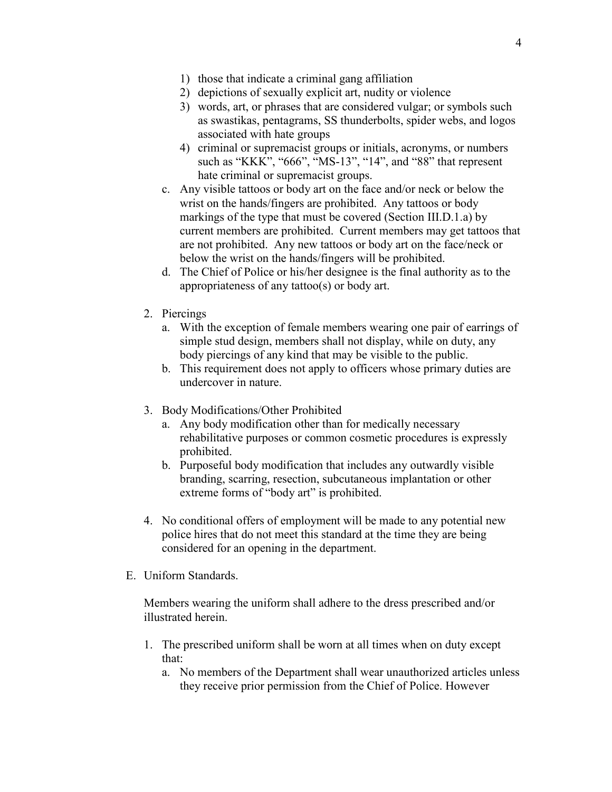- 1) those that indicate a criminal gang affiliation
- 2) depictions of sexually explicit art, nudity or violence
- 3) words, art, or phrases that are considered vulgar; or symbols such as swastikas, pentagrams, SS thunderbolts, spider webs, and logos associated with hate groups
- 4) criminal or supremacist groups or initials, acronyms, or numbers such as "KKK", "666", "MS-13", "14", and "88" that represent hate criminal or supremacist groups.
- c. Any visible tattoos or body art on the face and/or neck or below the wrist on the hands/fingers are prohibited. Any tattoos or body markings of the type that must be covered (Section III.D.1.a) by current members are prohibited. Current members may get tattoos that are not prohibited. Any new tattoos or body art on the face/neck or below the wrist on the hands/fingers will be prohibited.
- d. The Chief of Police or his/her designee is the final authority as to the appropriateness of any tattoo(s) or body art.
- 2. Piercings
	- a. With the exception of female members wearing one pair of earrings of simple stud design, members shall not display, while on duty, any body piercings of any kind that may be visible to the public.
	- b. This requirement does not apply to officers whose primary duties are undercover in nature.
- 3. Body Modifications/Other Prohibited
	- a. Any body modification other than for medically necessary rehabilitative purposes or common cosmetic procedures is expressly prohibited.
	- b. Purposeful body modification that includes any outwardly visible branding, scarring, resection, subcutaneous implantation or other extreme forms of "body art" is prohibited.
- 4. No conditional offers of employment will be made to any potential new police hires that do not meet this standard at the time they are being considered for an opening in the department.
- E. Uniform Standards.

Members wearing the uniform shall adhere to the dress prescribed and/or illustrated herein.

- 1. The prescribed uniform shall be worn at all times when on duty except that:
	- a. No members of the Department shall wear unauthorized articles unless they receive prior permission from the Chief of Police. However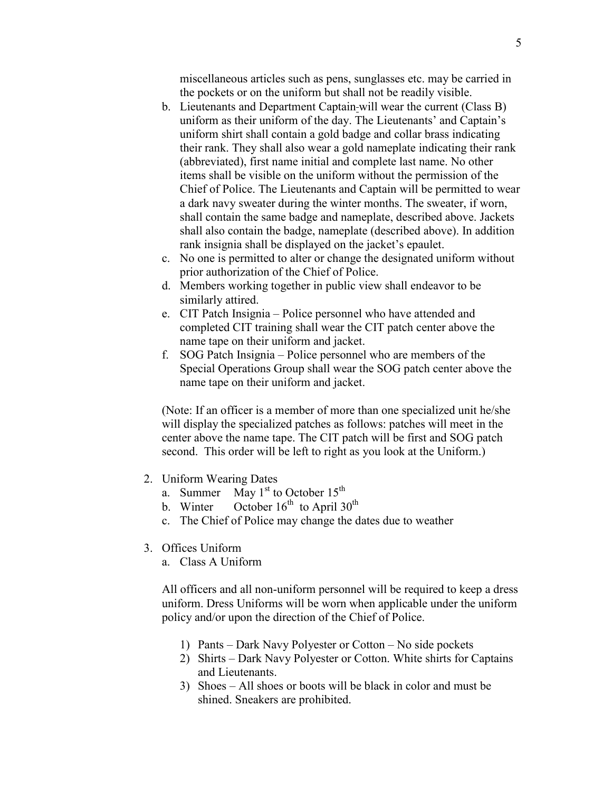miscellaneous articles such as pens, sunglasses etc. may be carried in the pockets or on the uniform but shall not be readily visible.

- b. Lieutenants and Department Captain will wear the current (Class B) uniform as their uniform of the day. The Lieutenants' and Captain's uniform shirt shall contain a gold badge and collar brass indicating their rank. They shall also wear a gold nameplate indicating their rank (abbreviated), first name initial and complete last name. No other items shall be visible on the uniform without the permission of the Chief of Police. The Lieutenants and Captain will be permitted to wear a dark navy sweater during the winter months. The sweater, if worn, shall contain the same badge and nameplate, described above. Jackets shall also contain the badge, nameplate (described above). In addition rank insignia shall be displayed on the jacket's epaulet.
- c. No one is permitted to alter or change the designated uniform without prior authorization of the Chief of Police.
- d. Members working together in public view shall endeavor to be similarly attired.
- e. CIT Patch Insignia Police personnel who have attended and completed CIT training shall wear the CIT patch center above the name tape on their uniform and jacket.
- f. SOG Patch Insignia Police personnel who are members of the Special Operations Group shall wear the SOG patch center above the name tape on their uniform and jacket.

(Note: If an officer is a member of more than one specialized unit he/she will display the specialized patches as follows: patches will meet in the center above the name tape. The CIT patch will be first and SOG patch second. This order will be left to right as you look at the Uniform.)

- 2. Uniform Wearing Dates
	- a. Summer May  $1<sup>st</sup>$  to October  $15<sup>th</sup>$
	- b. Winter October  $16^{th}$  to April  $30^{th}$
	- c. The Chief of Police may change the dates due to weather
- 3. Offices Uniform
	- a. Class A Uniform

All officers and all non-uniform personnel will be required to keep a dress uniform. Dress Uniforms will be worn when applicable under the uniform policy and/or upon the direction of the Chief of Police.

- 1) Pants Dark Navy Polyester or Cotton No side pockets
- 2) Shirts Dark Navy Polyester or Cotton. White shirts for Captains and Lieutenants.
- 3) Shoes All shoes or boots will be black in color and must be shined. Sneakers are prohibited.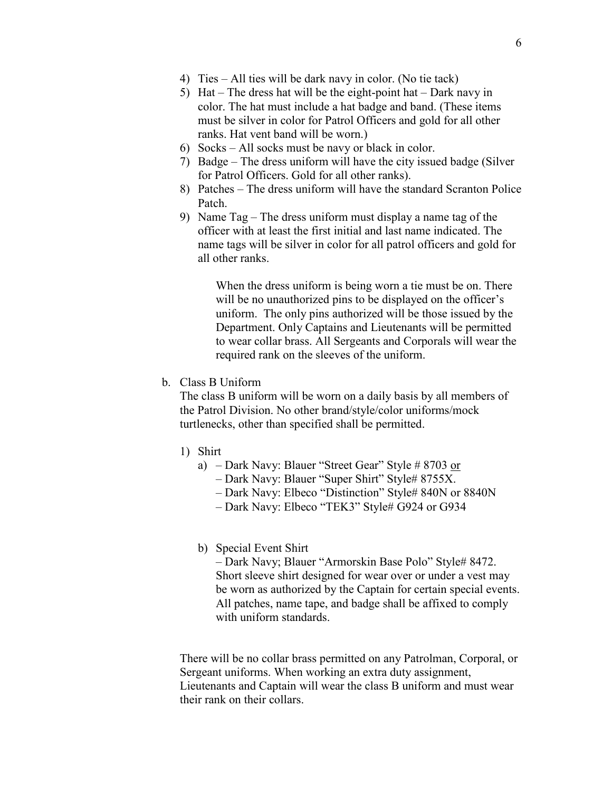- 4) Ties All ties will be dark navy in color. (No tie tack)
- 5) Hat The dress hat will be the eight-point hat Dark navy in color. The hat must include a hat badge and band. (These items must be silver in color for Patrol Officers and gold for all other ranks. Hat vent band will be worn.)
- 6) Socks All socks must be navy or black in color.
- 7) Badge The dress uniform will have the city issued badge (Silver for Patrol Officers. Gold for all other ranks).
- 8) Patches The dress uniform will have the standard Scranton Police Patch.
- 9) Name Tag The dress uniform must display a name tag of the officer with at least the first initial and last name indicated. The name tags will be silver in color for all patrol officers and gold for all other ranks.

When the dress uniform is being worn a tie must be on. There will be no unauthorized pins to be displayed on the officer's uniform. The only pins authorized will be those issued by the Department. Only Captains and Lieutenants will be permitted to wear collar brass. All Sergeants and Corporals will wear the required rank on the sleeves of the uniform.

b. Class B Uniform

The class B uniform will be worn on a daily basis by all members of the Patrol Division. No other brand/style/color uniforms/mock turtlenecks, other than specified shall be permitted.

- 1) Shirt
	- a) Dark Navy: Blauer "Street Gear" Style # 8703 or
		- Dark Navy: Blauer "Super Shirt" Style# 8755X.
		- Dark Navy: Elbeco "Distinction" Style# 840N or 8840N
		- Dark Navy: Elbeco "TEK3" Style# G924 or G934

#### b) Special Event Shirt

– Dark Navy; Blauer "Armorskin Base Polo" Style# 8472. Short sleeve shirt designed for wear over or under a vest may be worn as authorized by the Captain for certain special events. All patches, name tape, and badge shall be affixed to comply with uniform standards.

There will be no collar brass permitted on any Patrolman, Corporal, or Sergeant uniforms. When working an extra duty assignment, Lieutenants and Captain will wear the class B uniform and must wear their rank on their collars.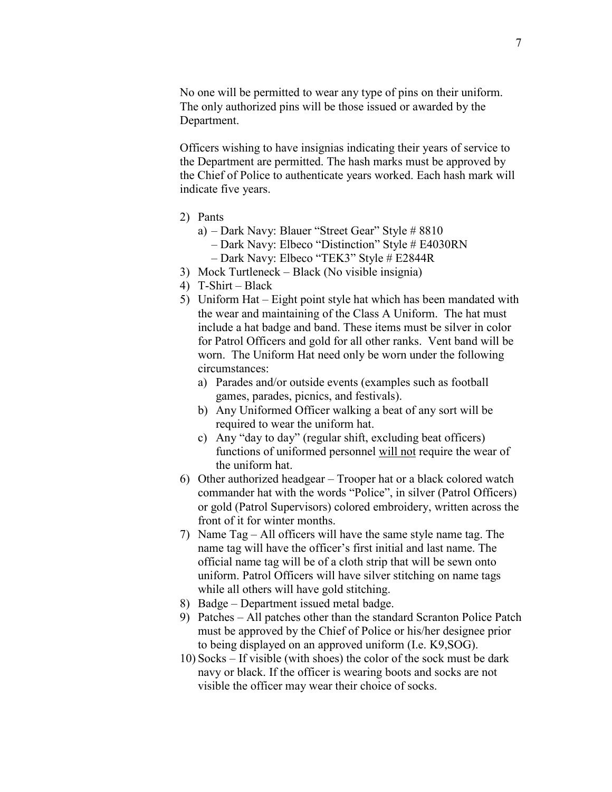No one will be permitted to wear any type of pins on their uniform. The only authorized pins will be those issued or awarded by the Department.

Officers wishing to have insignias indicating their years of service to the Department are permitted. The hash marks must be approved by the Chief of Police to authenticate years worked. Each hash mark will indicate five years.

- 2) Pants
	- a) Dark Navy: Blauer "Street Gear" Style # 8810
		- Dark Navy: Elbeco "Distinction" Style # E4030RN
		- Dark Navy: Elbeco "TEK3" Style # E2844R
- 3) Mock Turtleneck Black (No visible insignia)
- 4) T-Shirt Black
- 5) Uniform Hat Eight point style hat which has been mandated with the wear and maintaining of the Class A Uniform. The hat must include a hat badge and band. These items must be silver in color for Patrol Officers and gold for all other ranks. Vent band will be worn. The Uniform Hat need only be worn under the following circumstances:
	- a) Parades and/or outside events (examples such as football games, parades, picnics, and festivals).
	- b) Any Uniformed Officer walking a beat of any sort will be required to wear the uniform hat.
	- c) Any "day to day" (regular shift, excluding beat officers) functions of uniformed personnel will not require the wear of the uniform hat.
- 6) Other authorized headgear Trooper hat or a black colored watch commander hat with the words "Police", in silver (Patrol Officers) or gold (Patrol Supervisors) colored embroidery, written across the front of it for winter months.
- 7) Name Tag All officers will have the same style name tag. The name tag will have the officer's first initial and last name. The official name tag will be of a cloth strip that will be sewn onto uniform. Patrol Officers will have silver stitching on name tags while all others will have gold stitching.
- 8) Badge Department issued metal badge.
- 9) Patches All patches other than the standard Scranton Police Patch must be approved by the Chief of Police or his/her designee prior to being displayed on an approved uniform (I.e. K9,SOG).
- 10) Socks If visible (with shoes) the color of the sock must be dark navy or black. If the officer is wearing boots and socks are not visible the officer may wear their choice of socks.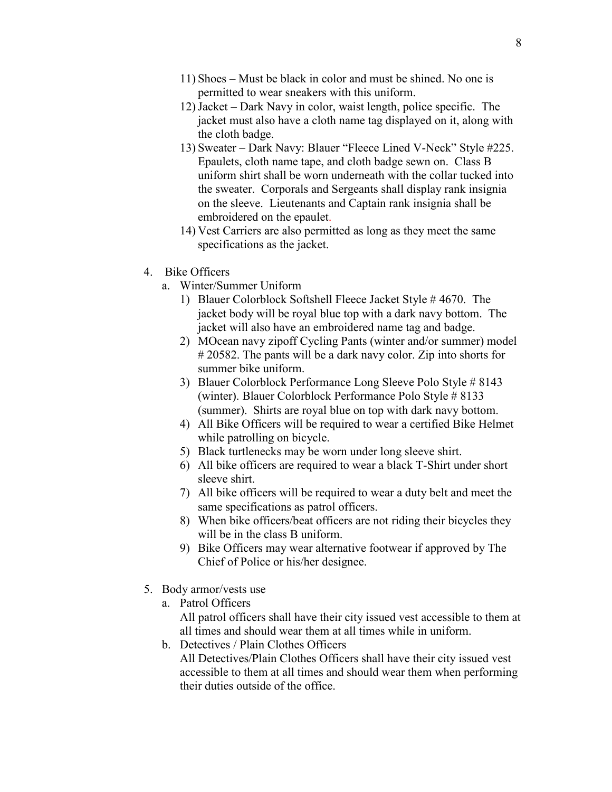- 11) Shoes Must be black in color and must be shined. No one is permitted to wear sneakers with this uniform.
- 12)Jacket Dark Navy in color, waist length, police specific. The jacket must also have a cloth name tag displayed on it, along with the cloth badge.
- 13) Sweater Dark Navy: Blauer "Fleece Lined V-Neck" Style #225. Epaulets, cloth name tape, and cloth badge sewn on. Class B uniform shirt shall be worn underneath with the collar tucked into the sweater. Corporals and Sergeants shall display rank insignia on the sleeve. Lieutenants and Captain rank insignia shall be embroidered on the epaulet.
- 14) Vest Carriers are also permitted as long as they meet the same specifications as the jacket.
- 4. Bike Officers
	- a. Winter/Summer Uniform
		- 1) Blauer Colorblock Softshell Fleece Jacket Style # 4670. The jacket body will be royal blue top with a dark navy bottom. The jacket will also have an embroidered name tag and badge.
		- 2) MOcean navy zipoff Cycling Pants (winter and/or summer) model # 20582. The pants will be a dark navy color. Zip into shorts for summer bike uniform.
		- 3) Blauer Colorblock Performance Long Sleeve Polo Style # 8143 (winter). Blauer Colorblock Performance Polo Style # 8133 (summer). Shirts are royal blue on top with dark navy bottom.
		- 4) All Bike Officers will be required to wear a certified Bike Helmet while patrolling on bicycle.
		- 5) Black turtlenecks may be worn under long sleeve shirt.
		- 6) All bike officers are required to wear a black T-Shirt under short sleeve shirt.
		- 7) All bike officers will be required to wear a duty belt and meet the same specifications as patrol officers.
		- 8) When bike officers/beat officers are not riding their bicycles they will be in the class B uniform.
		- 9) Bike Officers may wear alternative footwear if approved by The Chief of Police or his/her designee.
- 5. Body armor/vests use
	- a. Patrol Officers

All patrol officers shall have their city issued vest accessible to them at all times and should wear them at all times while in uniform.

b. Detectives / Plain Clothes Officers All Detectives/Plain Clothes Officers shall have their city issued vest accessible to them at all times and should wear them when performing their duties outside of the office.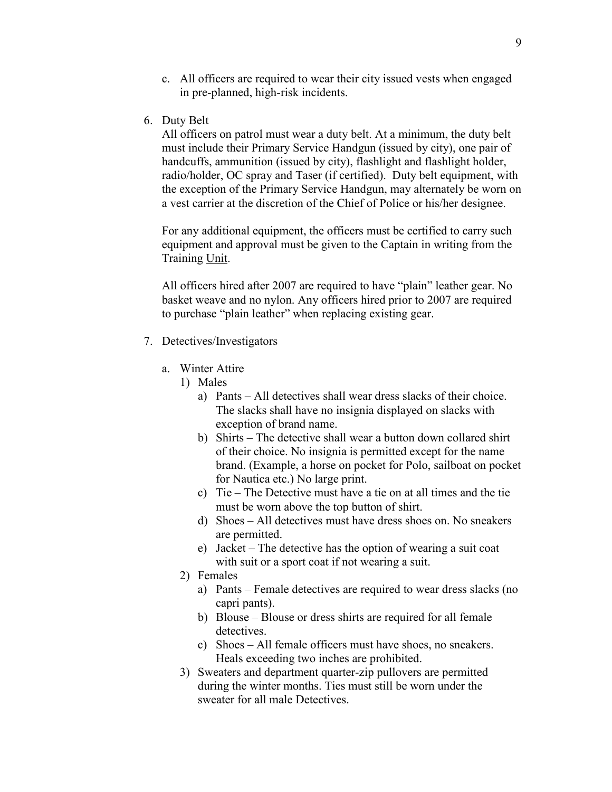- c. All officers are required to wear their city issued vests when engaged in pre-planned, high-risk incidents.
- 6. Duty Belt

All officers on patrol must wear a duty belt. At a minimum, the duty belt must include their Primary Service Handgun (issued by city), one pair of handcuffs, ammunition (issued by city), flashlight and flashlight holder, radio/holder, OC spray and Taser (if certified). Duty belt equipment, with the exception of the Primary Service Handgun, may alternately be worn on a vest carrier at the discretion of the Chief of Police or his/her designee.

For any additional equipment, the officers must be certified to carry such equipment and approval must be given to the Captain in writing from the Training Unit.

All officers hired after 2007 are required to have "plain" leather gear. No basket weave and no nylon. Any officers hired prior to 2007 are required to purchase "plain leather" when replacing existing gear.

- 7. Detectives/Investigators
	- a. Winter Attire
		- 1) Males
			- a) Pants All detectives shall wear dress slacks of their choice. The slacks shall have no insignia displayed on slacks with exception of brand name.
			- b) Shirts The detective shall wear a button down collared shirt of their choice. No insignia is permitted except for the name brand. (Example, a horse on pocket for Polo, sailboat on pocket for Nautica etc.) No large print.
			- c) Tie The Detective must have a tie on at all times and the tie must be worn above the top button of shirt.
			- d) Shoes All detectives must have dress shoes on. No sneakers are permitted.
			- e) Jacket The detective has the option of wearing a suit coat with suit or a sport coat if not wearing a suit.
		- 2) Females
			- a) Pants Female detectives are required to wear dress slacks (no capri pants).
			- b) Blouse Blouse or dress shirts are required for all female detectives.
			- c) Shoes All female officers must have shoes, no sneakers. Heals exceeding two inches are prohibited.
		- 3) Sweaters and department quarter-zip pullovers are permitted during the winter months. Ties must still be worn under the sweater for all male Detectives.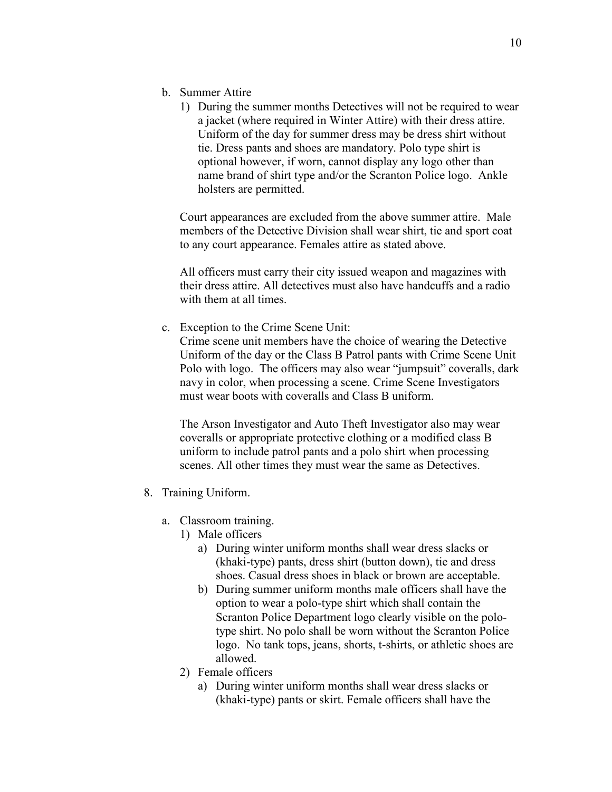- b. Summer Attire
	- 1) During the summer months Detectives will not be required to wear a jacket (where required in Winter Attire) with their dress attire. Uniform of the day for summer dress may be dress shirt without tie. Dress pants and shoes are mandatory. Polo type shirt is optional however, if worn, cannot display any logo other than name brand of shirt type and/or the Scranton Police logo. Ankle holsters are permitted.

Court appearances are excluded from the above summer attire. Male members of the Detective Division shall wear shirt, tie and sport coat to any court appearance. Females attire as stated above.

All officers must carry their city issued weapon and magazines with their dress attire. All detectives must also have handcuffs and a radio with them at all times.

c. Exception to the Crime Scene Unit:

Crime scene unit members have the choice of wearing the Detective Uniform of the day or the Class B Patrol pants with Crime Scene Unit Polo with logo. The officers may also wear "jumpsuit" coveralls, dark navy in color, when processing a scene. Crime Scene Investigators must wear boots with coveralls and Class B uniform.

The Arson Investigator and Auto Theft Investigator also may wear coveralls or appropriate protective clothing or a modified class B uniform to include patrol pants and a polo shirt when processing scenes. All other times they must wear the same as Detectives.

- 8. Training Uniform.
	- a. Classroom training.
		- 1) Male officers
			- a) During winter uniform months shall wear dress slacks or (khaki-type) pants, dress shirt (button down), tie and dress shoes. Casual dress shoes in black or brown are acceptable.
			- b) During summer uniform months male officers shall have the option to wear a polo-type shirt which shall contain the Scranton Police Department logo clearly visible on the polotype shirt. No polo shall be worn without the Scranton Police logo. No tank tops, jeans, shorts, t-shirts, or athletic shoes are allowed.
		- 2) Female officers
			- a) During winter uniform months shall wear dress slacks or (khaki-type) pants or skirt. Female officers shall have the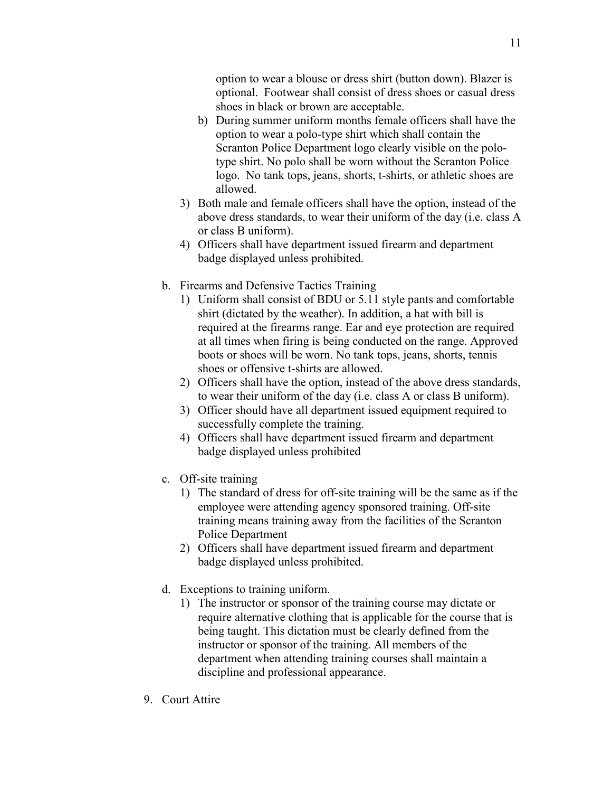option to wear a blouse or dress shirt (button down). Blazer is optional. Footwear shall consist of dress shoes or casual dress shoes in black or brown are acceptable.

- b) During summer uniform months female officers shall have the option to wear a polo-type shirt which shall contain the Scranton Police Department logo clearly visible on the polotype shirt. No polo shall be worn without the Scranton Police logo. No tank tops, jeans, shorts, t-shirts, or athletic shoes are allowed.
- 3) Both male and female officers shall have the option, instead of the above dress standards, to wear their uniform of the day (i.e. class A or class B uniform).
- 4) Officers shall have department issued firearm and department badge displayed unless prohibited.
- b. Firearms and Defensive Tactics Training
	- 1) Uniform shall consist of BDU or 5.11 style pants and comfortable shirt (dictated by the weather). In addition, a hat with bill is required at the firearms range. Ear and eye protection are required at all times when firing is being conducted on the range. Approved boots or shoes will be worn. No tank tops, jeans, shorts, tennis shoes or offensive t-shirts are allowed.
	- 2) Officers shall have the option, instead of the above dress standards, to wear their uniform of the day (i.e. class A or class B uniform).
	- 3) Officer should have all department issued equipment required to successfully complete the training.
	- 4) Officers shall have department issued firearm and department badge displayed unless prohibited
- c. Off-site training
	- 1) The standard of dress for off-site training will be the same as if the employee were attending agency sponsored training. Off-site training means training away from the facilities of the Scranton Police Department
	- 2) Officers shall have department issued firearm and department badge displayed unless prohibited.
- d. Exceptions to training uniform.
	- 1) The instructor or sponsor of the training course may dictate or require alternative clothing that is applicable for the course that is being taught. This dictation must be clearly defined from the instructor or sponsor of the training. All members of the department when attending training courses shall maintain a discipline and professional appearance.
- 9. Court Attire